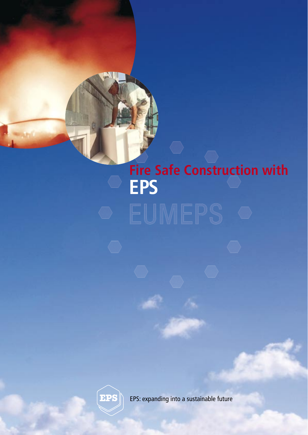# **Fire Safe Construction with EPS**



EPS: expanding into a sustainable future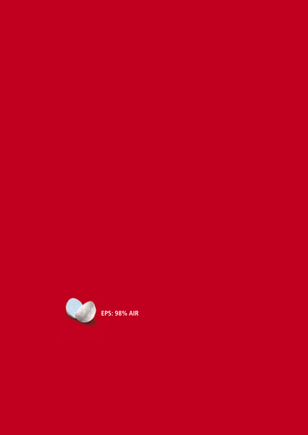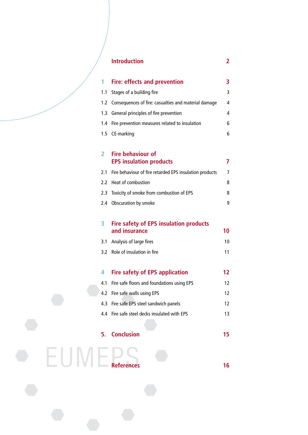|  |                |     | <b>Introduction</b>                                            | 2  |
|--|----------------|-----|----------------------------------------------------------------|----|
|  |                |     |                                                                |    |
|  | 1              |     | <b>Fire: effects and prevention</b>                            | 3  |
|  |                |     | 1.1 Stages of a building fire                                  | 3  |
|  |                |     | 1.2 Consequences of fire: casualties and material damage       | 4  |
|  |                |     | 1.3 General principles of fire prevention                      | 4  |
|  |                |     | 1.4 Fire prevention measures related to insulation             | 6  |
|  |                |     | 1.5 CE-marking                                                 | 6  |
|  | $\overline{2}$ |     | <b>Fire behaviour of</b><br><b>EPS insulation products</b>     | 7  |
|  | 2.1            |     | Fire behaviour of fire retarded EPS insulation products        | 7  |
|  |                |     | 2.2 Heat of combustion                                         | 8  |
|  |                | 2.3 | Toxicity of smoke from combustion of EPS                       | 8  |
|  |                |     | 2.4 Obscuration by smoke                                       | 9  |
|  | 3              |     | <b>Fire safety of EPS insulation products</b><br>and insurance | 10 |
|  |                | 3.1 | Analysis of large fires                                        | 10 |
|  |                |     | 3.2 Role of insulation in fire                                 | 11 |
|  | 4              |     | <b>Fire safety of EPS application</b>                          | 12 |
|  | 4.1            |     | Fire safe floors and foundations using EPS                     | 12 |
|  |                | 4.2 | Fire safe walls using EPS                                      | 12 |
|  | 4.3            |     | Fire safe EPS steel sandwich panels                            | 12 |
|  | 4.4            |     | Fire safe steel decks insulated with EPS                       | 13 |
|  |                |     |                                                                |    |
|  | 5.             |     | <b>Conclusion</b>                                              | 15 |
|  |                |     |                                                                |    |
|  |                |     | <b>References</b>                                              | 16 |
|  |                |     |                                                                |    |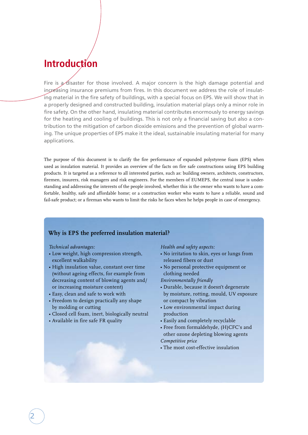# **Introduction**

Fire is  $\mathcal{D}$  disaster for those involved. A major concern is the high damage potential and increasing insurance premiums from fires. In this document we address the role of insulating material in the fire safety of buildings, with a special focus on EPS. We will show that in a properly designed and constructed building, insulation material plays only a minor role in fire safety. On the other hand, insulating material contributes enormously to energy savings for the heating and cooling of buildings. This is not only a financial saving but also a contribution to the mitigation of carbon dioxide emissions and the prevention of global warming. The unique properties of EPS make it the ideal, sustainable insulating material for many applications.

The purpose of this document is to clarify the fire performance of expanded polystyrene foam (EPS) when used as insulation material. It provides an overview of the facts on fire safe constructions using EPS building products. It is targeted as a reference to all interested parties, such as: building owners, architects, constructors, firemen, insurers, risk managers and risk engineers. For the members of EUMEPS, the central issue is understanding and addressing the interests of the people involved, whether this is the owner who wants to have a comfortable, healthy, safe and affordable home; or a construction worker who wants to have a reliable, sound and fail-safe product; or a fireman who wants to limit the risks he faces when he helps people in case of emergency.

## **Why is EPS the preferred insulation material?**

## *Technical advantages:*

- Low weight, high compression strength, excellent walkability
- High insulation value, constant over time (without ageing effects, for example from decreasing content of blowing agents and/ or increasing moisture content)
- Easy, clean and safe to work with
- Freedom to design practically any shape by molding or cutting
- Closed cell foam, inert, biologically neutral
- Available in fire safe FR quality

*Health and safety aspects:*

- No irritation to skin, eyes or lungs from released fibers or dust
- No personal protective equipment or clothing needed
- *Environmentally friendly*
- Durable, because it doesn't degenerate by moisture, rotting, mould, UV exposure or compact by vibration
- Low environmental impact during production
- Easily and completely recyclable
- Free from formaldehyde, (H)CFC's and other ozone depleting blowing agents *Competitive price*
- The most cost-effective insulation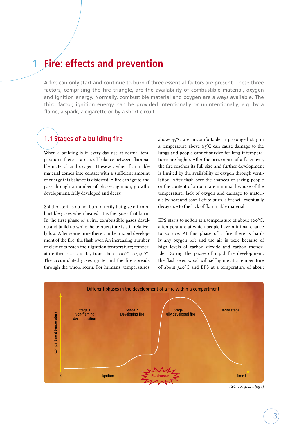# **1 Fire: effects and prevention**

A fire can only start and continue to burn if three essential factors are present. These three factors, comprising the fire triangle, are the availability of combustible material, oxygen and ignition energy. Normally, combustible material and oxygen are always available. The third factor, ignition energy, can be provided intentionally or unintentionally, e.g. by a flame, a spark, a cigarette or by a short circuit.

# **1.1 Stages of a building fire**

When a building is in every day use at normal temperatures there is a natural balance between flammable material and oxygen. However, when flammable material comes into contact with a sufficient amount of energy this balance is distorted. A fire can ignite and pass through a number of phases: ignition, growth/ development, fully developed and decay.

Solid materials do not burn directly but give off combustible gases when heated. It is the gases that burn. In the first phase of a fire, combustible gases develop and build up while the temperature is still relatively low. After some time there can be a rapid development of the fire: the flash over. An increasing number of elements reach their ignition temperature; temperature then rises quickly from about 100°C to 750°C. The accumulated gases ignite and the fire spreads through the whole room. For humans, temperatures

above 45ºC are uncomfortable; a prolonged stay in a temperature above 65ºC can cause damage to the lungs and people cannot survive for long if temperatures are higher. After the occurrence of a flash over, the fire reaches its full size and further development is limited by the availability of oxygen through ventilation. After flash over the chances of saving people or the content of a room are minimal because of the temperature, lack of oxygen and damage to materials by heat and soot. Left to burn, a fire will eventually decay due to the lack of flammable material.

EPS starts to soften at a temperature of about 100ºC, a temperature at which people have minimal chance to survive. At this phase of a fire there is hardly any oxygen left and the air is toxic because of high levels of carbon dioxide and carbon monoxide. During the phase of rapid fire development, the flash over, wood will self ignite at a temperature of about 340ºC and EPS at a temperature of about



*ISO TR 9122-1 [ref 1]*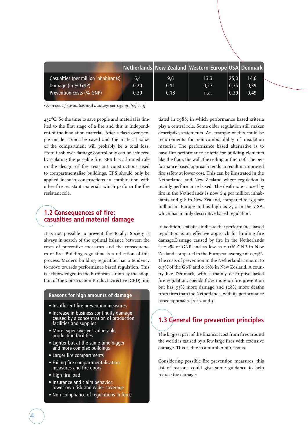|                                      |      |      | Netherlands New Zealand Western-Europe USA Denmark |      |      |
|--------------------------------------|------|------|----------------------------------------------------|------|------|
| Casualties (per million inhabitants) | 6,4  | 9,6  | 13,3                                               | 25,0 | 14,6 |
| Damage (in % GNP)                    | 0,20 | 0,11 | 0,27                                               | 0,35 | 0,39 |
| Prevention costs (% GNP)             | 0,30 | 0,18 | n.a.                                               | 0,39 | 0,49 |
|                                      |      |      |                                                    |      |      |

*Overview of casualties and damage per region. [ref 2, 3]*

450ºC. So the time to save people and material is limited to the first stage of a fire and this is independent of the insulation material. After a flash over people inside cannot be saved and the material value of the compartment will probably be a total loss. From flash over damage control only can be achieved by isolating the possible fire. EPS has a limited role in the design of fire resistant constructions used to compartmentalise buildings. EPS should only be applied in such constructions in combination with other fire resistant materials which perform the fire resistant role.

## **1.2 Consequences of fire: casualties and material damage**

It is not possible to prevent fire totally. Society is always in search of the optimal balance between the costs of preventive measures and the consequences of fire. Building regulation is a reflection of this process. Modern building regulation has a tendency to move towards performance based regulation. This is acknowledged in the European Union by the adoption of the Construction Product Directive (CPD), ini-

#### **Reasons for high amounts of damage**

- Insufficient fire prevention measures
- Increase in business continuity damage caused by a concentration of production facilities and supplies
- More expensive, yet vulnerable, production facilities
- Lighter but at the same time bigger and more complex buildings
- Larger fire compartments
- Failing fire compartmentalisation measures and fire doors
- High fire load

4

- Insurance and claim behavior: lower own risk and wider coverage
- Non-compliance of regulations in force

tiated in 1988, in which performance based criteria play a central role. Some older regulation still makes descriptive statements. An example of this could be requirements for non-combustibility of insulation material. The performance based alternative is to have fire performance criteria for building elements like the floor, the wall, the ceiling or the roof. The performance based approach tends to result in improved fire safety at lower cost. This can be illustrated in the Netherlands and New Zealand where regulation is mainly performance based. The death rate caused by fire in the Netherlands is now 6,4 per million inhabitants and 9,6 in New Zealand, compared to 13,3 per million in Europe and as high as 25,0 in the USA, which has mainly descriptive based regulation.

In addition, statistics indicate that performance based regulation is an effective approach for limiting fire damage.Damage caused by fire in the Netherlands is 0,2% of GNP and as low as 0,11% GNP in New Zealand compared to the European average of 0,27%. The costs of prevention in the Netherlands amount to 0,3% of the GNP and 0,18% in New Zealand. A country like Denmark, with a mainly descriptive based fire regulation, spends 60% more on fire prevention but has 95% more damage and 128% more deaths from fires than the Netherlands, with its performance based approach. [ref 2 and 3]

# **1.3 General fire prevention principles**

The biggest part of the financial cost from fires around the world is caused by a few large fires with extensive damage. This is due to a number of reasons.

Considering possible fire prevention measures, this list of reasons could give some guidance to help reduce the damage: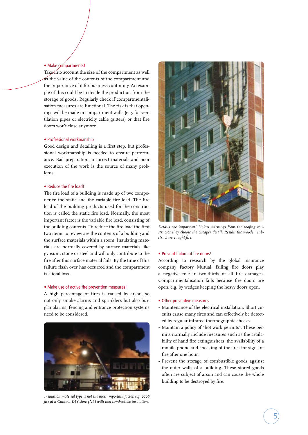#### • Make compartments!

Take into account the size of the compartment as well as the value of the contents of the compartment and the importance of it for business continuity. An example of this could be to divide the production from the storage of goods. Regularly check if compartmentalisation measures are functional. The risk is that openings will be made in compartment walls (e.g. for ventilation pipes or electricity cable gutters) or that fire doors won't close anymore.

#### • Professional workmanship

Good design and detailing is a first step, but professional workmanship is needed to ensure performance. Bad preparation, incorrect materials and poor execution of the work is the source of many problems.

#### • Reduce the fire load!

The fire load of a building is made up of two components: the static and the variable fire load. The fire load of the building products used for the construction is called the static fire load. Normally, the most important factor is the variable fire load, consisting of the building contents. To reduce the fire load the first two items to review are the contents of a building and the surface materials within a room. Insulating materials are normally covered by surface materials like gypsum, stone or steel and will only contribute to the fire after this surface material fails. By the time of this failure flash over has occurred and the compartment is a total loss.

#### • Make use of active fire prevention measures!

A high percentage of fires is caused by arson, so not only smoke alarms and sprinklers but also burglar alarms, fencing and entrance protection systems need to be considered.



*Insulation material type is not the most important factor, e.g. 2008 fire at a Gamma DIY store (NL) with non-combustible insulation.*



*Details are important! Unless warnings from the roofing constructor they choose the cheaper detail. Result; the wooden substructure caught fire.*

#### • Prevent failure of fire doors!

According to research by the global insurance company Factory Mutual, failing fire doors play a negative role in two-thirds of all fire damages. Compartmentalisation fails because fire doors are open, e.g. by wedges keeping the heavy doors open.

#### • Other preventive measures

- Maintenance of the electrical installation. Short circuits cause many fires and can effectively be detected by regular infrared thermographic checks.
- Maintain a policy of "hot work permits". These permits normally include measures such as the availability of hand fire extinguishers, the availability of a mobile phone and checking of the area for signs of fire after one hour.
- Prevent the storage of combustible goods against the outer walls of a building. These stored goods often are subject of arson and can cause the whole building to be destroyed by fire.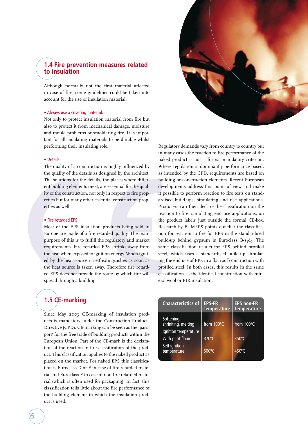## **1.4 Fire prevention measures related to insulation**

Although normally not the first material affected in case of fire, some guidelines could be taken into account for the use of insulation material.

#### • Always use a covering material.

Not only to protect insulation material from fire but also to protect it from mechanical damage, moisture and mould problems or smoldering fire. It is important for all insulating materials to be durable whilst performing their insulating role.

#### • Details

The quality of a construction is highly influenced by the quality of the details as designed by the architect. The solutions for the details, the places where different building elements meet, are essential for the quality of the construction, not only in respect to fire properties but for many other essential construction properties as well.

#### • Fire retarded EPS

Most of the EPS insulation products being sold in Europe are made of a fire retarded quality. The main purpose of this is to fulfill the regulatory and market requirements. Fire retarded EPS shrinks away from the heat when exposed to ignition energy. When ignited by the heat source it self extinguishes as soon as the heat source is taken away. Therefore fire retarded EPS does not provide the route by which fire will spread through a building.

# **1.5 CE-marking**

Since May 2003 CE-marking of insulation products is mandatory under the Construction Products Directive (CPD). CE-marking can be seen as the 'passport' for the free trade of building products within the European Union. Part of the CE-mark is the declaration of the reaction to fire classification of the product. This classification applies to the naked product as placed on the market. For naked EPS this classification is Euroclass D or E in case of fire retarded material and Euroclass F in case of non-fire retarded material (which is often used for packaging). In fact, this classification tells little about the fire performance of the building element in which the insulation product is used.



Regulatory demands vary from country to country but in many cases the reaction to fire performance of the naked product is just a formal mandatory criterion. Where regulation is dominantly performance based, as intended by the CPD, requirements are based on building or construction elements. Recent European developments address this point of view and make it possible to perform reaction to fire tests on standardised build-ups, simulating end use applications. Producers can then declare the classification on the reaction to fire, simulating end use applications, on the product labels just outside the formal CE-box. Research by EUMEPS points out that the classification for reaction to fire for EPS in the standardised build-up behind gypsum is Euroclass  $B-s_1d_0$ . The same classification results for EPS behind profiled steel, which uses a standardised build-up simulating the end use of EPS in a flat roof construction with profiled steel. In both cases, this results in the same classification as the identical construction with mineral wool or PIR insulation.

| <b>Characteristics of</b>        | <b>EPS-FR</b><br><b>Temperature</b> | <b>EPS non-FR</b><br><b>Temperature</b> |
|----------------------------------|-------------------------------------|-----------------------------------------|
| Softening,<br>shrinking, melting | from 100°C                          | from 100°C                              |
| Ignition temperature             |                                     |                                         |
| With pilot flame                 | 370°C                               | $350^{\circ}$ C                         |
| Self ignition<br>temperature     | 500°C                               | $450^{\circ}$ C                         |
|                                  |                                     |                                         |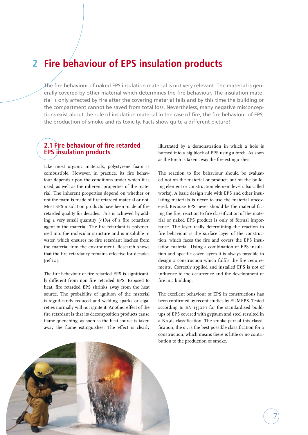# **2 Fire behaviour of EPS insulation products**

The fire behaviour of naked EPS insulation material is not very relevant. The material is generally covered by other material which determines the fire behaviour. The insulation material is only affected by fire after the covering material fails and by this time the building or the compartment cannot be saved from total loss. Nevertheless, many negative misconceptions exist about the role of insulation material in the case of fire, the fire behaviour of EPS, the production of smoke and its toxicity. Facts show quite a different picture!

# **2.1 Fire behaviour of fire retarded EPS insulation products**

Like most organic materials, polystyrene foam is combustible. However, in practice, its fire behaviour depends upon the conditions under which it is used, as well as the inherent properties of the material. The inherent properties depend on whether or not the foam is made of fire retarded material or not. Most EPS insulation products have been made of fire retarded quality for decades. This is achieved by adding a very small quantity (<1%) of a fire retardant agent to the material. The fire retardant is polymerised into the molecular structure and is insoluble in water, which ensures no fire retardant leaches from the material into the environment. Research shows that the fire retardancy remains effective for decades  $[ref$   $io]$ .

The fire behaviour of fire retarded EPS is significantly different from non fire retarded EPS. Exposed to heat, fire retarded EPS shrinks away from the heat source. The probability of ignition of the material is significantly reduced and welding sparks or cigarettes normally will not ignite it. Another effect of the fire retardant is that its decomposition products cause flame quenching: as soon as the heat source is taken away the flame extinguishes. The effect is clearly

illustrated by a demonstration in which a hole is burned into a big block of EPS using a torch. As soon as the torch is taken away the fire extinguishes.

The reaction to fire behaviour should be evaluated not on the material or product, but on the building element or construction element level (also called works). A basic design rule with EPS and other insulating materials is never to use the material uncovered. Because EPS never should be the material facing the fire, reaction to fire classification of the material or naked EPS product is only of formal importance. The layer really determining the reaction to fire behaviour is the surface layer of the construction, which faces the fire and covers the EPS insulation material. Using a combination of EPS insulation and specific cover layers it is always possible to design a construction which fulfils the fire requirements. Correctly applied and installed EPS is not of influence to the occurrence and the development of fire in a building.

The excellent behaviour of EPS in constructions has been confirmed by recent studies by EUMEPS. Tested according to EN 13501-1 for the standardised buildups of EPS covered with gypsum and steel resulted in a B-s<sub>1</sub>d<sub>0</sub> classification. The smoke part of this classification, the  $s<sub>1</sub>$ , is the best possible classification for a construction, which means there is little or no contribution to the production of smoke.

7

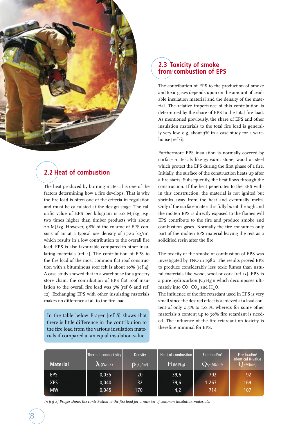

# **2.2 Heat of combustion**

The heat produced by burning material is one of the factors determining how a fire develops. That is why the fire load is often one of the criteria in regulation and must be calculated at the design stage. The calorific value of EPS per kilogram is 40 MJ/kg, e.g. two times higher than timber products with about 20 MJ/kg. However, 98% of the volume of EPS consists of air at a typical use density of  $15-20 \text{ kg/m}^3$ , which results in a low contribution to the overall fire load. EPS is also favourable compared to other insulating materials [ref 4]. The contribution of EPS to the fire load of the most common flat roof construction with a bituminous roof felt is about 10% [ref 4]. A case study showed that in a warehouse for a grocery store chain, the contribution of EPS flat roof insulation to the overall fire load was 3% [ref 6 and ref. 12]. Exchanging EPS with other insulating materials makes no difference at all to the fire load.

In the table below Prager [ref 8] shows that there is little difference in the contribution to the fire load from the various insulation materials if compared at an equal insulation value.

# **2.3 Toxicity of smoke from combustion of EPS**

The contribution of EPS to the production of smoke and toxic gases depends upon on the amount of available insulation material and the density of the material. The relative importance of this contribution is determined by the share of EPS to the total fire load. As mentioned previously, the share of EPS and other insulation materials to the total fire load is generally very low, e.g. about 3% in a case study for a warehouse [ref 6].

Furthermore EPS insulation is normally covered by surface materials like gypsum, stone, wood or steel which protect the EPS during the first phase of a fire. Initially, the surface of the construction heats up after a fire starts. Subsequently, the heat flows through the construction. If the heat penetrates to the EPS within this construction, the material is not ignited but shrinks away from the heat and eventually melts. Only if the surface material is fully burnt through and the molten EPS is directly exposed to the flames will EPS contribute to the fire and produce smoke and combustion gases. Normally the fire consumes only part of the molten EPS material leaving the rest as a solidified resin after the fire.

The toxicity of the smoke of combustion of EPS was investigated by TNO in 1980. The results proved EPS to produce considerably less toxic fumes than natural materials like wood, wool or cork [ref 13]. EPS is a pure hydrocarbon  $(C_8H_8)$ n which decomposes ultimately into CO,  $CO<sub>2</sub>$  and  $H<sub>2</sub>O$ .

The influence of the fire retardant used in EPS is very small since the desired effect is achieved at a load content of only 0,5% to 1,0 %, whereas for some other materials a content up to 30% fire retardant is needed. The influence of the fire retardant on toxicity is therefore minimal for EPS.

| <b>Material</b> | Thermal conductivity<br>$\Lambda$ (W/mK) | Density<br>$\mathbf{p}$ (kg/m <sup>3</sup> ) | Heat of combustion<br>$H$ (MJ/kg) | Fire $load/m3$<br>$Q_V$ (MJ/m <sup>3</sup> ) | Fire load/ $m^2$<br><b>Identical R-value</b><br>$\mathrm{Q}$ (MJ/m <sup>2</sup> ) |
|-----------------|------------------------------------------|----------------------------------------------|-----------------------------------|----------------------------------------------|-----------------------------------------------------------------------------------|
| <b>EPS</b>      | 0,035                                    | 20                                           | 39,6                              | 792                                          | 92                                                                                |
| <b>XPS</b>      | 0,040                                    | 32                                           | 39,6                              | 1.267                                        | 169                                                                               |
| <b>MW</b>       | 0,045                                    | 170                                          | 4,2                               | 714                                          | 107                                                                               |

*In [ref 8] Prager shows the contribution to the fire load for a number of common insulation materials.*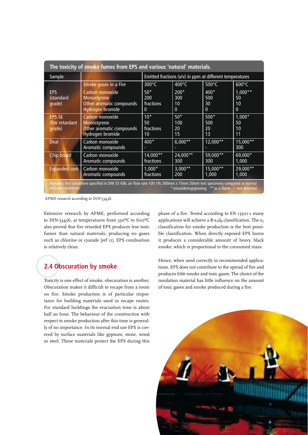| The toxicity of smoke fumes from EPS and various 'natural' materials.                                                                                                                                     |                                                                                |                                                          |                                   |                                 |                                       |  |
|-----------------------------------------------------------------------------------------------------------------------------------------------------------------------------------------------------------|--------------------------------------------------------------------------------|----------------------------------------------------------|-----------------------------------|---------------------------------|---------------------------------------|--|
| Sample                                                                                                                                                                                                    |                                                                                | Emitted fractions (v/v) in ppm at different temperatures |                                   |                                 |                                       |  |
|                                                                                                                                                                                                           | Smoke gases in a Fire                                                          | $300^{\circ}$ C                                          | $400^{\circ}$ C                   | $500^{\circ}$ C                 | $600^{\circ}$ C                       |  |
| <b>EPS</b><br>(standard<br>grade)                                                                                                                                                                         | Carbon monoxide<br>Monostyrene<br>Other aromatic compounds<br>Hydrogen bromide | $50*$<br>200<br>fractions<br>0                           | 200*<br>300<br>10<br>$\mathbf{0}$ | $400*$<br>500<br>30<br>$\Omega$ | $1,000**$<br>50<br>10<br>$\mathbf{0}$ |  |
| <b>EPS-SE</b><br>(fire retardant<br>grade)                                                                                                                                                                | Carbon monoxide<br>Monostyrene<br>Other aromatic compounds<br>Hydrogen bromide | $10*$<br>50<br>fractions<br>10 <sup>°</sup>              | $50*$<br>100<br>20<br>15          | $500*$<br>500<br>20<br>13       | $1,000*$<br>50<br>10<br>11            |  |
| <b>Deal</b>                                                                                                                                                                                               | Carbon monoxide<br>Aromatic compounds                                          | $400*$                                                   | $6,000**$                         | $12,000**$                      | $15,000**$<br>300                     |  |
| Chip board                                                                                                                                                                                                | Carbon monoxide<br>Aromatic compounds                                          | $14,000**$<br>fractions                                  | $24,000**$<br>300                 | 59,000**<br><b>300</b>          | 69,000*<br>1,000                      |  |
| <b>Expanded cork</b>                                                                                                                                                                                      | Carbon monoxide<br>Aromatic compounds                                          | $1,000*$<br>fractions                                    | $3,000**$<br>200                  | 15,000**<br>1,000               | $29,000**$<br>1,000                   |  |
| Remarks: Test conditions specified in DIN 53 436; air flow rate 100 1/h; 300mm x 15mm 20mm test specimens compared at normal<br>* smouldering/glowing ** as a flame - not detected<br>end-use conditions. |                                                                                |                                                          |                                   |                                 |                                       |  |

*APME research according to DIN-53436.*

Extensive research by APME, performed according to DIN-53436, at temperatures from 330ºC to 600ºC also proved that fire retarded EPS produces less toxic fumes than natural materials, producing no gases such as chlorine or cyanide [ref 11]. EPS combustion is relatively clean.

# **2.4 Obscuration by smoke**

Toxicity is one effect of smoke, obscuration is another. Obscuration makes it difficult to escape from a room on fire. Smoke production is of particular importance for building materials used in escape routes. For standard buildings the evacuation time is about half an hour. The behaviour of the construction with respect to smoke production after this time is generally of no importance. In its normal end use EPS is covered by surface materials like gypsum, stone, wood or steel. These materials protect the EPS during this phase of a fire. Tested according to EN 13501-1 many applications will achieve a  $B-s<sub>1</sub>d<sub>0</sub>$  classification. The  $s<sub>1</sub>$ classification for smoke production is the best possible classification. When directly exposed EPS burns it produces a considerable amount of heavy, black smoke, which is proportional to the consumed mass.

Hence, when used correctly in recommended applications, EPS does not contribute to the spread of fire and produces little smoke and toxic gases. The choice of the insulation material has little influence on the amount of toxic gases and smoke produced during a fire.

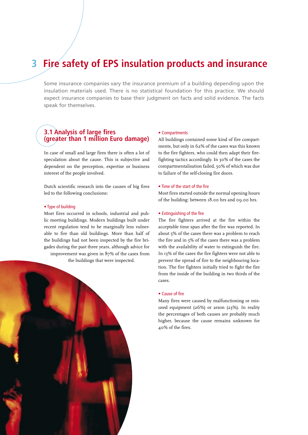# **3 Fire safety of EPS insulation products and insurance**

Some insurance companies vary the insurance premium of a building depending upon the insulation materials used. There is no statistical foundation for this practice. We should expect insurance companies to base their judgment on facts and solid evidence. The facts speak for themselves.

## **3.1 Analysis of large fires (greater than 1 million Euro damage)**

In case of small and large fires there is often a lot of speculation about the cause. This is subjective and dependent on the perception, expertise or business interest of the people involved.

Dutch scientific research into the causes of big fires led to the following conclusions:

#### • Type of building

Most fires occurred in schools, industrial and public meeting buildings. Modern buildings built under recent regulation tend to be marginally less vulnerable to fire than old buildings. More than half of the buildings had not been inspected by the fire brigades during the past three years, although advice for improvement was given in 87% of the cases from the buildings that were inspected.

## • Compartments

All buildings contained some kind of fire compartments, but only in 62% of the cases was this known to the fire fighters, who could then adapt their firefighting tactics accordingly. In 30% of the cases the compartmentalisation failed, 50% of which was due to failure of the self-closing fire doors.

#### • Time of the start of the fire

Most fires started outside the normal opening hours of the building: between 18.00 hrs and 09.00 hrs.

#### • Extinguishing of the fire

The fire fighters arrived at the fire within the acceptable time span after the fire was reported. In about 5% of the cases there was a problem to reach the fire and in 5% of the cases there was a problem with the availability of water to extinguish the fire. In 13% of the cases the fire fighters were not able to prevent the spread of fire to the neighbouring location. The fire fighters initially tried to fight the fire from the inside of the building in two thirds of the cases.

#### • Cause of fire

Many fires were caused by malfunctioning or misused equipment (26%) or arson (23%). In reality the percentages of both causes are probably much higher, because the cause remains unknown for 40% of the fires.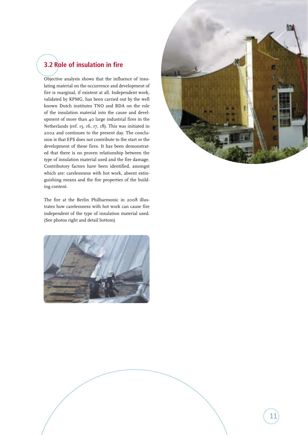# **3.2 Role of insulation in fire**

Objective analysis shows that the influence of insulating material on the occurrence and development of fire is marginal, if existent at all. Independent work, validated by KPMG, has been carried out by the well known Dutch institutes TNO and BDA on the role of the insulation material into the cause and development of more than 40 large industrial fires in the Netherlands (ref. 15, 16, 17, 18). This was initiated in 2002 and continues to the present day. The conclusion is that EPS does not contribute to the start or the development of these fires. It has been demonstrated that there is no proven relationship between the type of insulation material used and the fire damage. Contributory factors have been identified, amongst which are: carelessness with hot work, absent extinguishing means and the fire properties of the building content.

The fire at the Berlin Philharmonic in 2008 illustrates how carelessness with hot work can cause fire independent of the type of insulation material used. (See photos right and detail bottom)



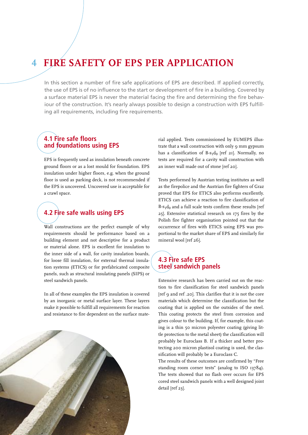# **4 Fire safety of EPS per application**

In this section a number of fire safe applications of EPS are described. If applied correctly, the use of EPS is of no influence to the start or development of fire in a building. Covered by a surface material EPS is never the material facing the fire and determining the fire behaviour of the construction. It's nearly always possible to design a construction with EPS fulfilling all requirements, including fire requirements.

## **4.1 Fire safe floors and foundations using EPS**

EPS is frequently used as insulation beneath concrete ground floors or as a lost mould for foundation. EPS insulation under higher floors, e.g. when the ground floor is used as parking deck, is not recommended if the EPS is uncovered. Uncovered use is acceptable for a crawl space.

# **4.2 Fire safe walls using EPS**

Wall constructions are the perfect example of why requirements should be performance based on a building element and not descriptive for a product or material alone. EPS is excellent for insulation to the inner side of a wall, for cavity insulation boards, for loose fill insulation, for external thermal insulation systems (ETICS) or for prefabricated composite panels, such as structural insulating panels (SIPS) or steel sandwich panels.

In all of these examples the EPS insulation is covered by an inorganic or metal surface layer. These layers make it possible to fulfill all requirements for reaction and resistance to fire dependent on the surface mate-



rial applied. Tests commissioned by EUMEPS illustrate that a wall construction with only 9 mm gypsum has a classification of  $B-s_1d_0$  [ref 21]. Normally, no tests are required for a cavity wall construction with an inner wall made out of stone [ref 20].

Tests performed by Austrian testing institutes as well as the firepolice and the Austrian fire fighters of Graz proved that EPS for ETICS also performs excellently. ETICS can achieve a reaction to fire classification of  $B-s_1d_0$  and a full scale tests confirm these results [ref 25]. Extensive statistical research on 175 fires by the Polish fire fighter organisation pointed out that the occurrence of fires with ETICS using EPS was proportional to the market share of EPS and similarly for mineral wool [ref 26].

# **4.3 Fire safe EPS steel sandwich panels**

Extensive research has been carried out on the reaction to fire classification for steel sandwich panels [ref 9 and ref .20]. This clarifies that it is not the core materials which determine the classification but the coating that is applied on the outsides of the steel. This coating protects the steel from corrosion and gives colour to the building. If, for example, this coating is a thin 50 micron polyester coating (giving little protection to the metal sheet) the classification will probably be Euroclass B. If a thicker and better protecting 200 micron plastisol coating is used, the classification will probably be a Euroclass C.

The results of these outcomes are confirmed by "Free standing room corner tests" (analog to ISO 13784). The tests showed that no flash over occurs for EPS cored steel sandwich panels with a well designed joint detail [ref 23].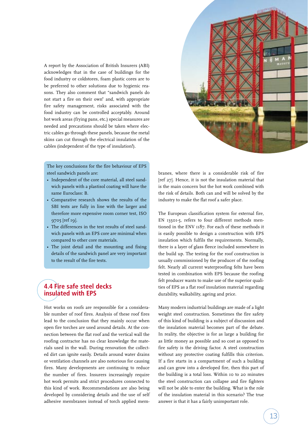A report by the Association of British Insurers (ABI) acknowledges that in the case of buildings for the food industry or coldstores, foam plastic cores are to be preferred to other solutions due to hygienic reasons. They also comment that "sandwich panels do not start a fire on their own" and, with appropriate fire safety management, risks associated with the food industry can be controlled acceptably. Around hot work areas (frying pans, etc.) special measures are needed and precautions should be taken where electric cables go through these panels, because the metal skins can cut through the electrical insulation of the cables (independent of the type of insulation!).

The key conclusions for the fire behaviour of EPS steel sandwich panels are:

- Independent of the core material, all steel sandwich panels with a plastisol coating will have the same Euroclass: B.
- Comparative research shows the results of the SBI tests are fully in line with the larger and therefore more expensive room corner test, ISO 9705 [ref 19].
- The differences in the test results of steel sandwich panels with an EPS core are minimal when compared to other core materials.
- The joint detail and the mounting and fixing details of the sandwich panel are very important to the result of the fire tests.

# **4.4 Fire safe steel decks insulated with EPS**

Hot works on roofs are responsible for a considerable number of roof fires. Analysis of these roof fires lead to the conclusion that they mainly occur when open fire torches are used around details. At the connection between the flat roof and the vertical wall the roofing contractor has no clear knowledge the materials used in the wall. During renovation the collected dirt can ignite easily. Details around water drains or ventilation channels are also notorious for causing fires. Many developments are continuing to reduce the number of fires. Insurers increasingly require hot work permits and strict procedures connected to this kind of work. Recommendations are also being developed by considering details and the use of self adhesive membranes instead of torch applied mem-



branes, where there is a considerable risk of fire [ref 27]. Hence, it is not the insulation material that is the main concern but the hot work combined with the risk of details. Both can and will be solved by the industry to make the flat roof a safer place.

The European classification system for external fire, EN 13501-5, refers to four different methods mentioned in the ENV 1187. For each of these methods it is easily possible to design a construction with EPS insulation which fulfils the requirements. Normally, there is a layer of glass fleece included somewhere in the build up. The testing for the roof construction is usually commissioned by the producer of the roofing felt. Nearly all current waterproofing felts have been tested in combination with EPS because the roofing felt producer wants to make use of the superior qualities of EPS as a flat roof insulation material regarding durability, walkability, ageing and price.

Many modern industrial buildings are made of a light weight steel construction. Sometimes the fire safety of this kind of building is a subject of discussion and the insulation material becomes part of the debate. In reality, the objective is for as large a building for as little money as possible and so cost as opposed to fire safety is the driving factor. A steel construction without any protective coating fulfills this criterion. If a fire starts in a compartment of such a building and can grow into a developed fire, then this part of the building is a total loss. Within 10 to 20 minutes the steel construction can collapse and fire fighters will not be able to enter the building. What is the role of the insulation material in this scenario? The true answer is that it has a fairly unimportant role.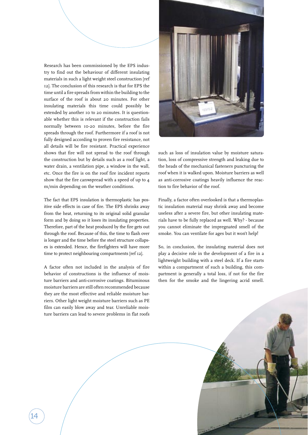Research has been commissioned by the EPS industry to find out the behaviour of different insulating materials in such a light weight steel construction [ref 12]. The conclusion of this research is that for EPS the time until a fire spreads from within the building to the surface of the roof is about 20 minutes. For other insulating materials this time could possibly be extended by another 10 to 20 minutes. It is questionable whether this is relevant if the construction fails normally between 10-20 minutes, before the fire spreads through the roof. Furthermore if a roof is not fully designed according to proven fire resistance, not all details will be fire resistant. Practical experience shows that fire will not spread to the roof through the construction but by details such as a roof light, a water drain, a ventilation pipe, a window in the wall, etc. Once the fire is on the roof fire incident reports show that the fire canwspread with a speed of up to 4 m/min depending on the weather conditions.

The fact that EPS insulation is thermoplastic has positive side effects in case of fire. The EPS shrinks away from the heat, returning to its original solid granular form and by doing so it loses its insulating properties. Therefore, part of the heat produced by the fire gets out through the roof. Because of this, the time to flash over is longer and the time before the steel structure collapses is extended. Hence, the firefighters will have more time to protect neighbouring compartments [ref 12].

A factor often not included in the analysis of fire behavior of constructions is the influence of moisture barriers and anti-corrosive coatings. Bituminous moisture barriers are still often recommended because they are the most effective and reliable moisture barriers. Other light weight moisture barriers such as PE film can easily blow away and tear. Unreliable moisture barriers can lead to severe problems in flat roofs



such as loss of insulation value by moisture saturation, loss of compressive strength and leaking due to the heads of the mechanical fasteners puncturing the roof when it is walked upon. Moisture barriers as well as anti-corrosive coatings heavily influence the reaction to fire behavior of the roof.

Finally, a factor often overlooked is that a thermoplastic insulation material may shrink away and become useless after a severe fire, but other insulating materials have to be fully replaced as well. Why? - because you cannot eliminate the impregnated smell of the smoke. You can ventilate for ages but it won't help!

So, in conclusion, the insulating material does not play a decisive role in the development of a fire in a lightweight building with a steel deck. If a fire starts within a compartment of such a building, this compartment is generally a total loss, if not for the fire then for the smoke and the lingering acrid smell.

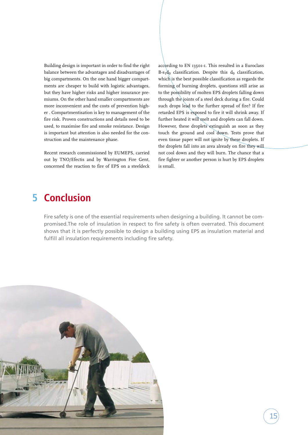Building design is important in order to find the right balance between the advantages and disadvantages of big compartments. On the one hand bigger compartments are cheaper to build with logistic advantages, but they have higher risks and higher insurance premiums. On the other hand smaller compartments are more inconvenient and the costs of prevention higher . Compartmentisation is key to management of the fire risk. Proven constructions and details need to be used, to maximise fire and smoke resistance. Design is important but attention is also needed for the construction and the maintenance phase.

Recent research commissioned by EUMEPS, carried out by TNO/Efectis and by Warrington Fire Gent, concerned the reaction to fire of EPS on a steeldeck according to EN 13501-1. This resulted in a Euroclass  $B-s_1d_0$  classification. Despite this  $d_0$  classification, which is the best possible classification as regards the forming of burning droplets, questions still arise as to the possibility of molten EPS droplets falling down through the joints of a steel deck during a fire. Could such drops lead to the further spread of fire? If fire retarded EPS is exposed to fire it will shrink away. If further heated it will melt and droplets can fall down. However, these droplets extinguish as soon as they touch the ground and cool down. Tests prove that even tissue paper will not ignite by these droplets. If the droplets fall into an area already on fire they will not cool down and they will burn. The chance that a fire fighter or another person is hurt by EPS droplets is small.

15

# **5 Conclusion**

Fire safety is one of the essential requirements when designing a building. It cannot be compromised.The role of insulation in respect to fire safety is often overrated. This document shows that it is perfectly possible to design a building using EPS as insulation material and fulfill all insulation requirements including fire safety.

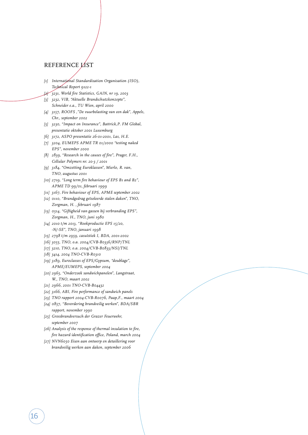# REFERENCE LIST

- *[1] International Standardisation Organisation (ISO), Technical Report 9122-1*
- *[2] 3231, World fire Statistics, GAIN, nr 19, 2003*
- *[3] 3232, VIB, "Aktuelle Brandschutzkonzepte", Schneider e.a., TU Wien, april 2000*
- *[4] 3157, ROOFS ,"De vuurbelasting van een dak", Appels, Chr., september 2002*
- *[5] 3230, "Impact on Insurance", Battrick,P. FM Global, presentatie oktober 2001 Luxemburg*
- *[6] 3172, ASPO presentatie 26-01-2001, Las, H.E.*
- *[7] 3204, EUMEPS APME TR 01/2000 "testing naked EPS", november 2000*
- *[8] 2839, "Research in the causes of fire", Prager, F.H., Cellular Polymers nr. 20-3 / 2001*
- *[9] 3184, "Omzetting Euroklassen", Mierlo, R. van, TNO, augustus 2001*
- *[10] 2719, "Long term fire behaviour of EPS B1 and B2", APME TD 99/01, februari 1999*
- *[11] 3167, Fire behaviour of EPS, APME september 2002*
- *[12] 0110, "Brandgedrag geïsoleerde stalen daken", TNO, Zorgman, H. , februari 1987*
- *[13] 0514, "Giftigheid van gassen bij verbranding EPS", Zorgman, H., TNO, juni 1980*
- *[14] 2010 t/m 2013, "Rookproductie EPS 15/20, -N/-SE", TNO, januari 1998*
- *[15] 2798 t/m 2959, casuïstiek I, BDA, 2001-2002*
- *[16] 3055, TNO, o.a. 2004/CVB-B0336/RNP/TNL*
- *[17] 3210, TNO, o.a. 2004/CVB-B0833/NSI/TNL*
- *[18] 3414, 2004 TNO-CVB-R0310*
- *[19] 3189, Euroclasses of EPS/Gypsum, "doublage", APME/EUMEPS, september 2004*
- *[20] 2965, "Onderzoek sandwichpanelen", Langstraat, W., TNO, maart 2002*
- *[21] 2966, 2001 TNO-CVB-B04432*

16

- *[22] 3166, ABI, Fire performance of sandwich panels*
- *[23] TNO rapport 2004-CVB-R0076, Paap,F., maart 2004 [24] 0857, "Bevordering brandveilig werken", BDA/SBR*
- *rapport, november 1990 [25] Grossbrandversuch der Grazer Feuerwehr, september 2007*
- *[26] Analysis of the response of thermal insulation to fire, fire hazard identification office, Poland, march 2004*
- *[27] NVN6050 Eisen aan ontwerp en detaillering voor brandveilig werken aan daken, september 2006*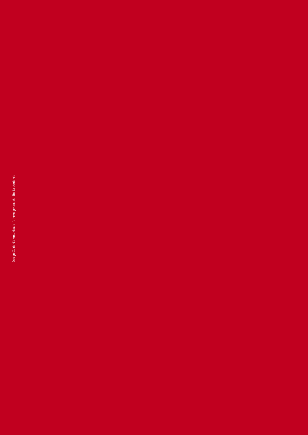Design: Zuider Communicatie - 's-Hertogenbosch - The Netherlands Design: Zuider Communicatie - 's-Hertogenbosch - The Netherlands